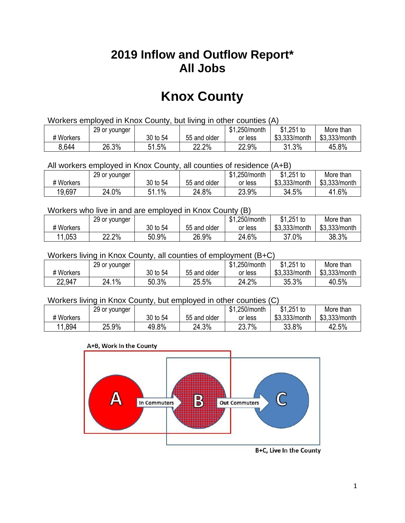## **2019 Inflow and Outflow Report\* All Jobs**

# **Knox County**

| Workers employed in Knox County, but living in other counties (A) |                                                            |          |              |         |               |               |  |  |  |
|-------------------------------------------------------------------|------------------------------------------------------------|----------|--------------|---------|---------------|---------------|--|--|--|
|                                                                   | $$1,251$ to<br>\$1.250/month<br>29 or younger<br>More than |          |              |         |               |               |  |  |  |
| # Workers                                                         |                                                            | 30 to 54 | 55 and older | or less | \$3.333/month | \$3,333/month |  |  |  |
| 8,644                                                             | 26.3%                                                      | 51.5%    | 22.2%        | 22.9%   | 31.3%         | 45.8%         |  |  |  |

All workers employed in Knox County, all counties of residence (A+B)

|           | 29 or younger |               |              | \$1,250/month | $$1,251$ to   | More than     |
|-----------|---------------|---------------|--------------|---------------|---------------|---------------|
| # Workers |               | 30 to 54      | 55 and older | or less       | \$3,333/month | \$3,333/month |
| 19,697    | 24.0%         | $1\%$<br>C 4. | 24.8%        | 23.9%         | 34.5%         | 41.6%         |

#### Workers who live in and are employed in Knox County (B)

|           | 29 or younger |          |              | \$1,250/month | $$1,251$ to   | More than     |
|-----------|---------------|----------|--------------|---------------|---------------|---------------|
| # Workers |               | 30 to 54 | 55 and older | or less       | \$3,333/month | \$3,333/month |
| 11,053    | 22.2%         | 50.9%    | 26.9%        | 24.6%         | 37.0%         | 38.3%         |

#### Workers living in Knox County, all counties of employment (B+C)

|           | 29 or younger |          |              | \$1,250/month | \$1,251 to    | More than     |
|-----------|---------------|----------|--------------|---------------|---------------|---------------|
| # Workers |               | 30 to 54 | 55 and older | or less       | \$3,333/month | \$3,333/month |
| 22,947    | $1\%$<br>24.1 | 50.3%    | 25.5%        | 24.2%         | 35.3%         | 40.5%         |

#### Workers living in Knox County, but employed in other counties (C)

|           | 29 or younger |          |              | .250/month<br>\$1 | $$1,251$ to   | More than     |
|-----------|---------------|----------|--------------|-------------------|---------------|---------------|
| # Workers |               | 30 to 54 | 55 and older | or less           | \$3,333/month | \$3,333/month |
| 11,894    | 25.9%         | 49.8%    | 24.3%        | 7%<br>23.7        | 33.8%         | 42.5%         |

#### A+B, Work In the County



B+C, Live In the County